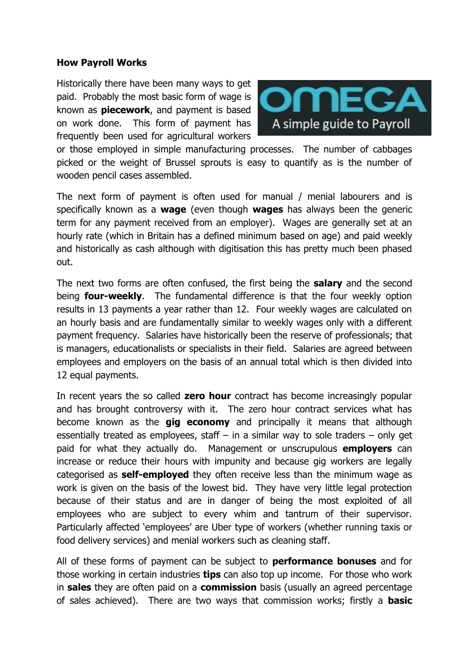### **How Payroll Works**

Historically there have been many ways to get paid. Probably the most basic form of wage is known as **piecework**, and payment is based on work done. This form of payment has frequently been used for agricultural workers



or those employed in simple manufacturing processes. The number of cabbages picked or the weight of Brussel sprouts is easy to quantify as is the number of wooden pencil cases assembled.

The next form of payment is often used for manual / menial labourers and is specifically known as a **wage** (even though **wages** has always been the generic term for any payment received from an employer). Wages are generally set at an hourly rate (which in Britain has a defined minimum based on age) and paid weekly and historically as cash although with digitisation this has pretty much been phased out.

The next two forms are often confused, the first being the **salary** and the second being **four-weekly**. The fundamental difference is that the four weekly option results in 13 payments a year rather than 12. Four weekly wages are calculated on an hourly basis and are fundamentally similar to weekly wages only with a different payment frequency. Salaries have historically been the reserve of professionals; that is managers, educationalists or specialists in their field. Salaries are agreed between employees and employers on the basis of an annual total which is then divided into 12 equal payments.

In recent years the so called **zero hour** contract has become increasingly popular and has brought controversy with it. The zero hour contract services what has become known as the **gig economy** and principally it means that although essentially treated as employees, staff  $-$  in a similar way to sole traders  $-$  only get paid for what they actually do. Management or unscrupulous **employers** can increase or reduce their hours with impunity and because gig workers are legally categorised as **self-employed** they often receive less than the minimum wage as work is given on the basis of the lowest bid. They have very little legal protection because of their status and are in danger of being the most exploited of all employees who are subject to every whim and tantrum of their supervisor. Particularly affected 'employees' are Uber type of workers (whether running taxis or food delivery services) and menial workers such as cleaning staff.

All of these forms of payment can be subject to **performance bonuses** and for those working in certain industries **tips** can also top up income. For those who work in **sales** they are often paid on a **commission** basis (usually an agreed percentage of sales achieved). There are two ways that commission works; firstly a **basic**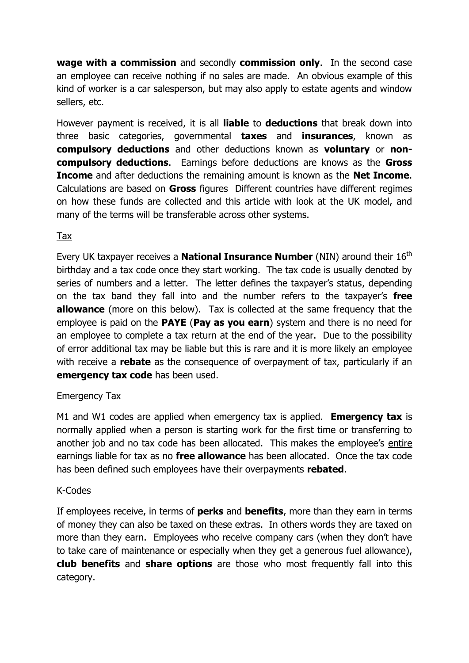**wage with a commission** and secondly **commission only**. In the second case an employee can receive nothing if no sales are made. An obvious example of this kind of worker is a car salesperson, but may also apply to estate agents and window sellers, etc.

However payment is received, it is all **liable** to **deductions** that break down into three basic categories, governmental **taxes** and **insurances**, known as **compulsory deductions** and other deductions known as **voluntary** or **noncompulsory deductions**. Earnings before deductions are knows as the **Gross Income** and after deductions the remaining amount is known as the **Net Income**. Calculations are based on **Gross** figures Different countries have different regimes on how these funds are collected and this article with look at the UK model, and many of the terms will be transferable across other systems.

# Tax

Every UK taxpayer receives a **National Insurance Number** (NIN) around their 16<sup>th</sup> birthday and a tax code once they start working. The tax code is usually denoted by series of numbers and a letter. The letter defines the taxpayer's status, depending on the tax band they fall into and the number refers to the taxpayer's **free allowance** (more on this below). Tax is collected at the same frequency that the employee is paid on the **PAYE** (**Pay as you earn**) system and there is no need for an employee to complete a tax return at the end of the year. Due to the possibility of error additional tax may be liable but this is rare and it is more likely an employee with receive a **rebate** as the consequence of overpayment of tax, particularly if an **emergency tax code** has been used.

# Emergency Tax

M1 and W1 codes are applied when emergency tax is applied. **Emergency tax** is normally applied when a person is starting work for the first time or transferring to another job and no tax code has been allocated. This makes the employee's entire earnings liable for tax as no **free allowance** has been allocated. Once the tax code has been defined such employees have their overpayments **rebated**.

## K-Codes

If employees receive, in terms of **perks** and **benefits**, more than they earn in terms of money they can also be taxed on these extras. In others words they are taxed on more than they earn. Employees who receive company cars (when they don't have to take care of maintenance or especially when they get a generous fuel allowance), **club benefits** and **share options** are those who most frequently fall into this category.